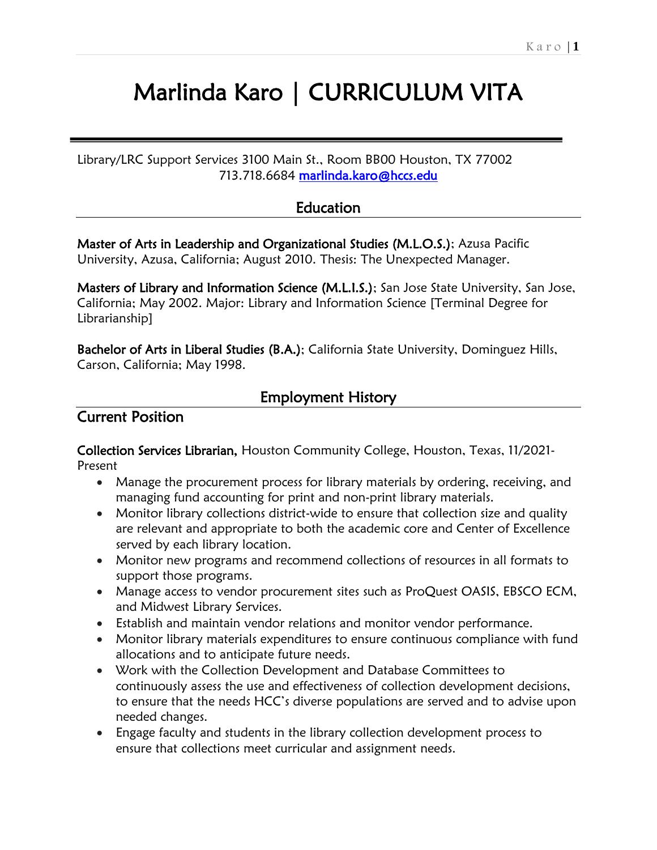# Marlinda Karo | CURRICULUM VITA

Library/LRC Support Services 3100 Main St., Room BB00 Houston, TX 77002 713.718.6684 marlinda.karo@hccs.edu

# **Education**

Master of Arts in Leadership and Organizational Studies (M.L.O.S.); Azusa Pacific University, Azusa, California; August 2010. Thesis: The Unexpected Manager.

Masters of Library and Information Science (M.L.I.S.); San Jose State University, San Jose, California; May 2002. Major: Library and Information Science [Terminal Degree for Librarianship]

Bachelor of Arts in Liberal Studies (B.A.); California State University, Dominguez Hills, Carson, California; May 1998.

# Employment History

# Current Position

Collection Services Librarian, Houston Community College, Houston, Texas, 11/2021- Present

- Manage the procurement process for library materials by ordering, receiving, and managing fund accounting for print and non-print library materials.
- Monitor library collections district-wide to ensure that collection size and quality are relevant and appropriate to both the academic core and Center of Excellence served by each library location.
- Monitor new programs and recommend collections of resources in all formats to support those programs.
- Manage access to vendor procurement sites such as ProQuest OASIS, EBSCO ECM, and Midwest Library Services.
- Establish and maintain vendor relations and monitor vendor performance.
- Monitor library materials expenditures to ensure continuous compliance with fund allocations and to anticipate future needs.
- Work with the Collection Development and Database Committees to continuously assess the use and effectiveness of collection development decisions, to ensure that the needs HCC's diverse populations are served and to advise upon needed changes.
- Engage faculty and students in the library collection development process to ensure that collections meet curricular and assignment needs.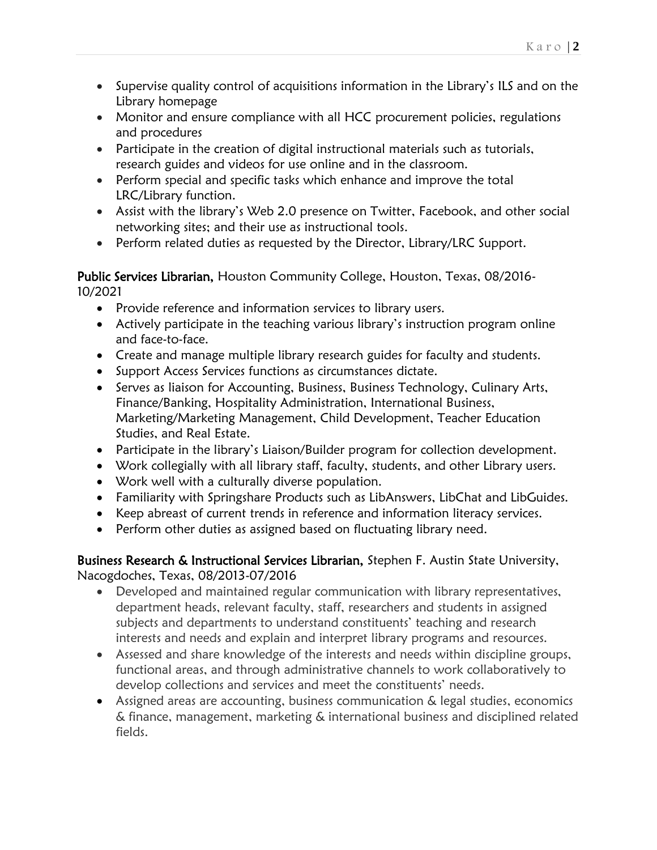- Supervise quality control of acquisitions information in the Library's ILS and on the Library homepage
- Monitor and ensure compliance with all HCC procurement policies, regulations and procedures
- Participate in the creation of digital instructional materials such as tutorials, research guides and videos for use online and in the classroom.
- Perform special and specific tasks which enhance and improve the total LRC/Library function.
- Assist with the library's Web 2.0 presence on Twitter, Facebook, and other social networking sites; and their use as instructional tools.
- Perform related duties as requested by the Director, Library/LRC Support.

#### Public Services Librarian, Houston Community College, Houston, Texas, 08/2016-10/2021

- Provide reference and information services to library users.
- Actively participate in the teaching various library's instruction program online and face-to-face.
- Create and manage multiple library research guides for faculty and students.
- Support Access Services functions as circumstances dictate.
- Serves as liaison for Accounting, Business, Business Technology, Culinary Arts, Finance/Banking, Hospitality Administration, International Business, Marketing/Marketing Management, Child Development, Teacher Education Studies, and Real Estate.
- Participate in the library's Liaison/Builder program for collection development.
- Work collegially with all library staff, faculty, students, and other Library users.
- Work well with a culturally diverse population.
- Familiarity with Springshare Products such as LibAnswers, LibChat and LibGuides.
- Keep abreast of current trends in reference and information literacy services.
- Perform other duties as assigned based on fluctuating library need.

#### Business Research & Instructional Services Librarian, Stephen F. Austin State University, Nacogdoches, Texas, 08/2013-07/2016

- Developed and maintained regular communication with library representatives, department heads, relevant faculty, staff, researchers and students in assigned subjects and departments to understand constituents' teaching and research interests and needs and explain and interpret library programs and resources.
- Assessed and share knowledge of the interests and needs within discipline groups, functional areas, and through administrative channels to work collaboratively to develop collections and services and meet the constituents' needs.
- Assigned areas are accounting, business communication & legal studies, economics & finance, management, marketing & international business and disciplined related fields.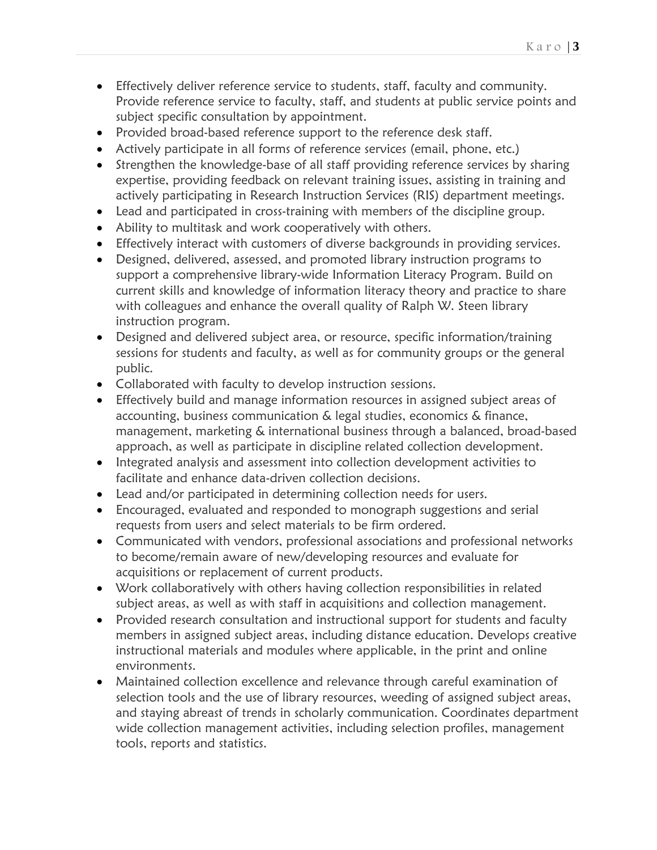- Effectively deliver reference service to students, staff, faculty and community. Provide reference service to faculty, staff, and students at public service points and subject specific consultation by appointment.
- Provided broad-based reference support to the reference desk staff.
- Actively participate in all forms of reference services (email, phone, etc.)
- Strengthen the knowledge-base of all staff providing reference services by sharing expertise, providing feedback on relevant training issues, assisting in training and actively participating in Research Instruction Services (RIS) department meetings.
- Lead and participated in cross-training with members of the discipline group.
- Ability to multitask and work cooperatively with others.
- Effectively interact with customers of diverse backgrounds in providing services.
- Designed, delivered, assessed, and promoted library instruction programs to support a comprehensive library-wide Information Literacy Program. Build on current skills and knowledge of information literacy theory and practice to share with colleagues and enhance the overall quality of Ralph W. Steen library instruction program.
- Designed and delivered subject area, or resource, specific information/training sessions for students and faculty, as well as for community groups or the general public.
- Collaborated with faculty to develop instruction sessions.
- Effectively build and manage information resources in assigned subject areas of accounting, business communication & legal studies, economics & finance, management, marketing & international business through a balanced, broad-based approach, as well as participate in discipline related collection development.
- Integrated analysis and assessment into collection development activities to facilitate and enhance data-driven collection decisions.
- Lead and/or participated in determining collection needs for users.
- Encouraged, evaluated and responded to monograph suggestions and serial requests from users and select materials to be firm ordered.
- Communicated with vendors, professional associations and professional networks to become/remain aware of new/developing resources and evaluate for acquisitions or replacement of current products.
- Work collaboratively with others having collection responsibilities in related subject areas, as well as with staff in acquisitions and collection management.
- Provided research consultation and instructional support for students and faculty members in assigned subject areas, including distance education. Develops creative instructional materials and modules where applicable, in the print and online environments.
- Maintained collection excellence and relevance through careful examination of selection tools and the use of library resources, weeding of assigned subject areas, and staying abreast of trends in scholarly communication. Coordinates department wide collection management activities, including selection profiles, management tools, reports and statistics.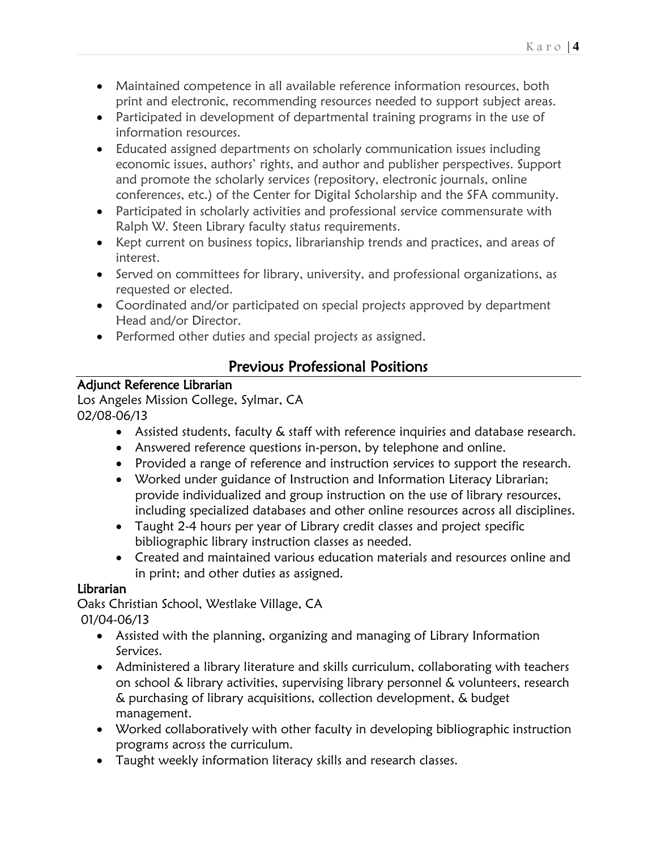- Maintained competence in all available reference information resources, both print and electronic, recommending resources needed to support subject areas.
- Participated in development of departmental training programs in the use of information resources.
- Educated assigned departments on scholarly communication issues including economic issues, authors' rights, and author and publisher perspectives. Support and promote the scholarly services (repository, electronic journals, online conferences, etc.) of the Center for Digital Scholarship and the SFA community.
- Participated in scholarly activities and professional service commensurate with Ralph W. Steen Library faculty status requirements.
- Kept current on business topics, librarianship trends and practices, and areas of interest.
- Served on committees for library, university, and professional organizations, as requested or elected.
- Coordinated and/or participated on special projects approved by department Head and/or Director.
- Performed other duties and special projects as assigned.

# Previous Professional Positions

# Adjunct Reference Librarian

Los Angeles Mission College, Sylmar, CA 02/08-06/13

- Assisted students, faculty & staff with reference inquiries and database research.
- Answered reference questions in-person, by telephone and online.
- Provided a range of reference and instruction services to support the research.
- Worked under guidance of Instruction and Information Literacy Librarian; provide individualized and group instruction on the use of library resources, including specialized databases and other online resources across all disciplines.
- Taught 2-4 hours per year of Library credit classes and project specific bibliographic library instruction classes as needed.
- Created and maintained various education materials and resources online and in print; and other duties as assigned.

# Librarian

Oaks Christian School, Westlake Village, CA 01/04-06/13

- Assisted with the planning, organizing and managing of Library Information Services.
- Administered a library literature and skills curriculum, collaborating with teachers on school & library activities, supervising library personnel & volunteers, research & purchasing of library acquisitions, collection development, & budget management.
- Worked collaboratively with other faculty in developing bibliographic instruction programs across the curriculum.
- Taught weekly information literacy skills and research classes.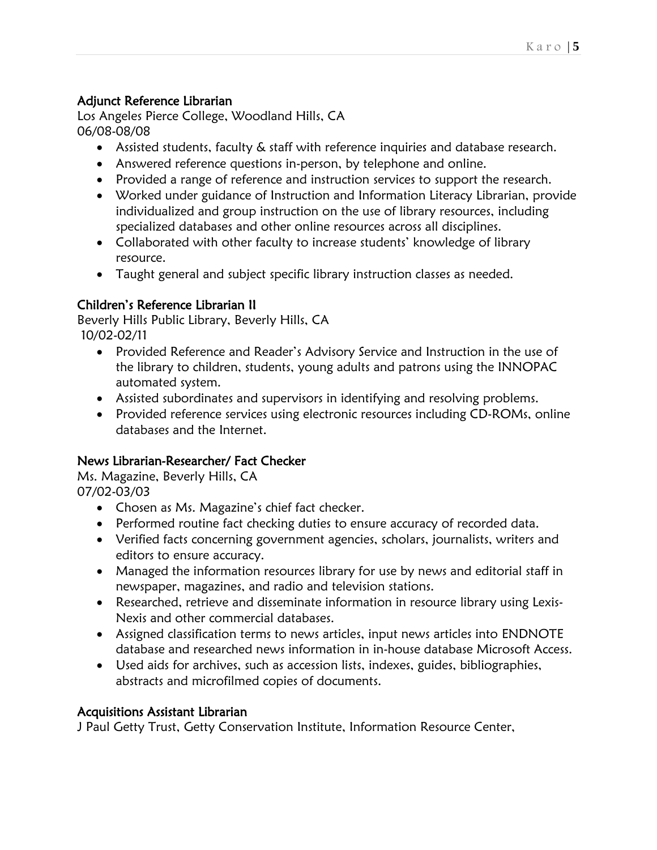#### Adjunct Reference Librarian

Los Angeles Pierce College, Woodland Hills, CA 06/08-08/08

- Assisted students, faculty & staff with reference inquiries and database research.
- Answered reference questions in-person, by telephone and online.
- Provided a range of reference and instruction services to support the research.
- Worked under guidance of Instruction and Information Literacy Librarian, provide individualized and group instruction on the use of library resources, including specialized databases and other online resources across all disciplines.
- Collaborated with other faculty to increase students' knowledge of library resource.
- Taught general and subject specific library instruction classes as needed.

#### Children's Reference Librarian II

Beverly Hills Public Library, Beverly Hills, CA 10/02-02/11

- Provided Reference and Reader's Advisory Service and Instruction in the use of the library to children, students, young adults and patrons using the INNOPAC automated system.
- Assisted subordinates and supervisors in identifying and resolving problems.
- Provided reference services using electronic resources including CD-ROMs, online databases and the Internet.

#### News Librarian-Researcher/ Fact Checker

Ms. Magazine, Beverly Hills, CA 07/02-03/03

- Chosen as Ms. Magazine's chief fact checker.
- Performed routine fact checking duties to ensure accuracy of recorded data.
- Verified facts concerning government agencies, scholars, journalists, writers and editors to ensure accuracy.
- Managed the information resources library for use by news and editorial staff in newspaper, magazines, and radio and television stations.
- Researched, retrieve and disseminate information in resource library using Lexis-Nexis and other commercial databases.
- Assigned classification terms to news articles, input news articles into ENDNOTE database and researched news information in in-house database Microsoft Access.
- Used aids for archives, such as accession lists, indexes, guides, bibliographies, abstracts and microfilmed copies of documents.

#### Acquisitions Assistant Librarian

J Paul Getty Trust, Getty Conservation Institute, Information Resource Center,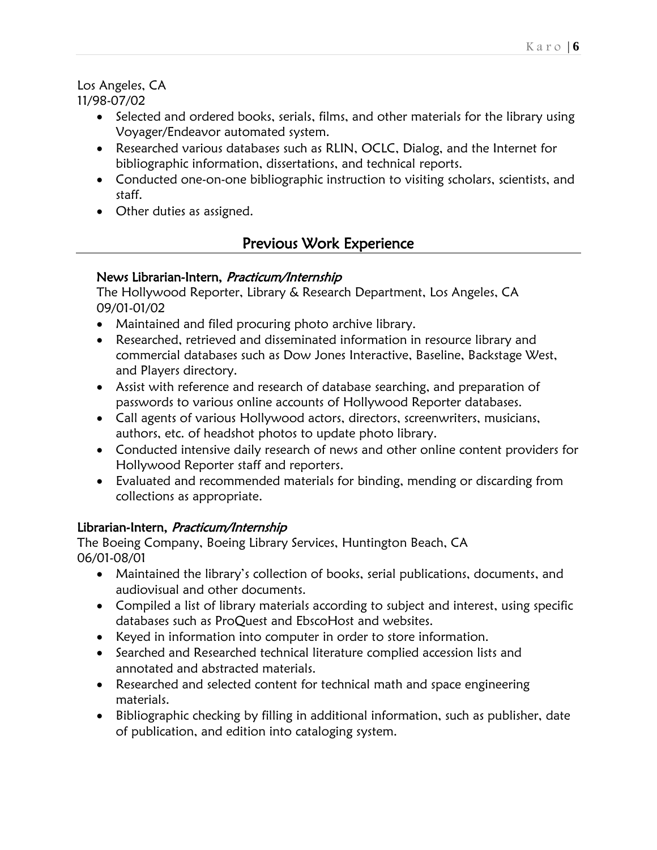#### Los Angeles, CA 11/98-07/02

- Selected and ordered books, serials, films, and other materials for the library using Voyager/Endeavor automated system.
- Researched various databases such as RLIN, OCLC, Dialog, and the Internet for bibliographic information, dissertations, and technical reports.
- Conducted one-on-one bibliographic instruction to visiting scholars, scientists, and staff.
- Other duties as assigned.

# Previous Work Experience

## News Librarian-Intern, Practicum/Internship

The Hollywood Reporter, Library & Research Department, Los Angeles, CA 09/01-01/02

- Maintained and filed procuring photo archive library.
- Researched, retrieved and disseminated information in resource library and commercial databases such as Dow Jones Interactive, Baseline, Backstage West, and Players directory.
- Assist with reference and research of database searching, and preparation of passwords to various online accounts of Hollywood Reporter databases.
- Call agents of various Hollywood actors, directors, screenwriters, musicians, authors, etc. of headshot photos to update photo library.
- Conducted intensive daily research of news and other online content providers for Hollywood Reporter staff and reporters.
- Evaluated and recommended materials for binding, mending or discarding from collections as appropriate.

## Librarian-Intern, Practicum/Internship

The Boeing Company, Boeing Library Services, Huntington Beach, CA 06/01-08/01

- Maintained the library's collection of books, serial publications, documents, and audiovisual and other documents.
- Compiled a list of library materials according to subject and interest, using specific databases such as ProQuest and EbscoHost and websites.
- Keyed in information into computer in order to store information.
- Searched and Researched technical literature complied accession lists and annotated and abstracted materials.
- Researched and selected content for technical math and space engineering materials.
- Bibliographic checking by filling in additional information, such as publisher, date of publication, and edition into cataloging system.